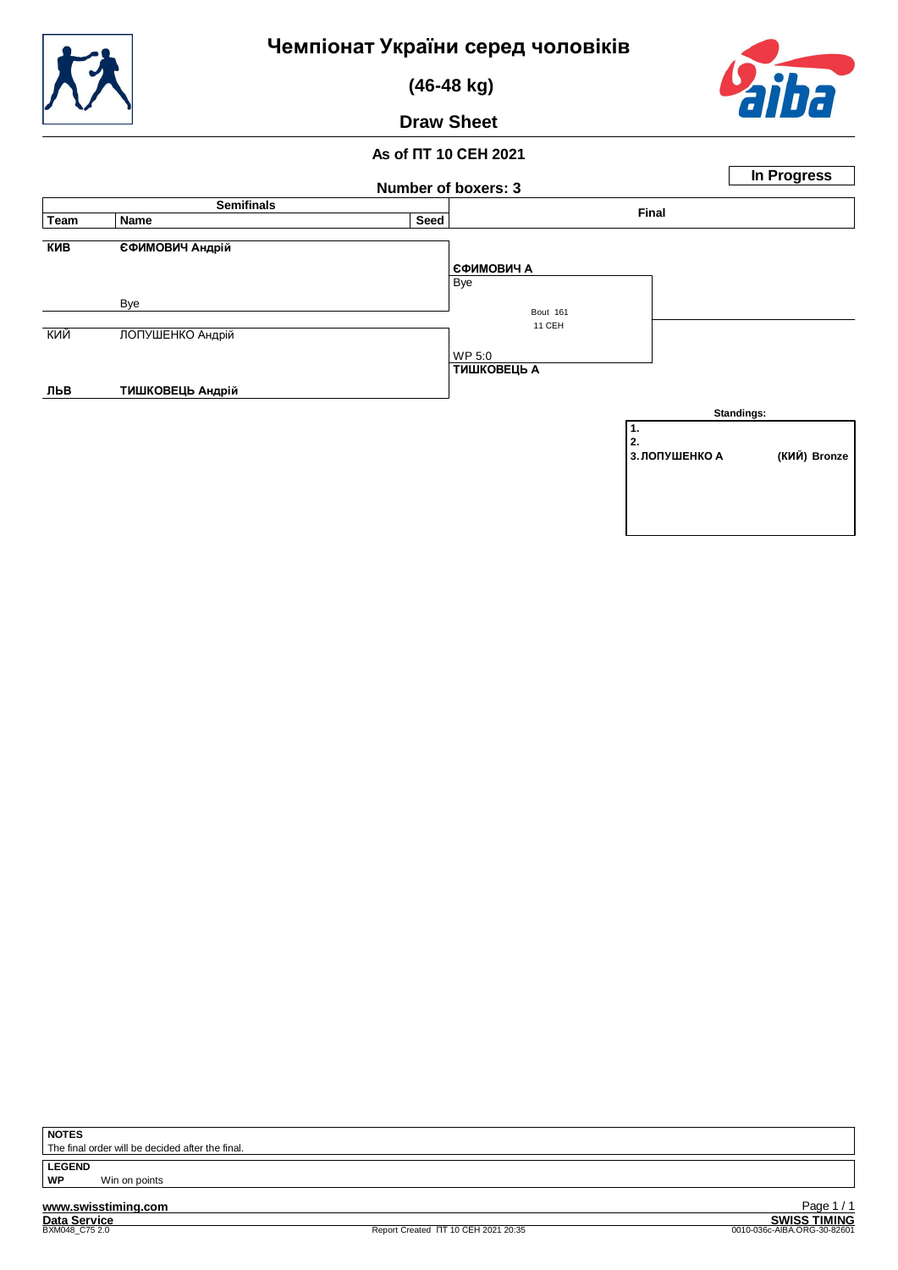

 **(46-48 kg)**



**Draw Sheet**

## **As of ПТ 10 СЕН 2021**

|            |                        | Number of boxers: 3 |                                 |                            | In Progress  |  |  |
|------------|------------------------|---------------------|---------------------------------|----------------------------|--------------|--|--|
|            | <b>Semifinals</b>      |                     |                                 |                            |              |  |  |
| Team       | Name                   | Seed                |                                 | Final                      |              |  |  |
| <b>KNB</b> | <b>ЄФИМОВИЧ Андрій</b> |                     |                                 |                            |              |  |  |
|            |                        |                     | <b>ЄФИМОВИЧ А</b><br><b>Bye</b> |                            |              |  |  |
|            | Bye                    |                     |                                 |                            |              |  |  |
|            |                        |                     | <b>Bout 161</b><br>11 CEH       |                            |              |  |  |
| кий        | ЛОПУШЕНКО Андрій       |                     |                                 |                            |              |  |  |
|            |                        |                     | WP 5:0<br><b>ТИШКОВЕЦЬ А</b>    |                            |              |  |  |
| льв        | ТИШКОВЕЦЬ Андрій       |                     |                                 |                            |              |  |  |
|            |                        |                     |                                 |                            | Standings:   |  |  |
|            |                        |                     |                                 | 1.<br>2.<br>3. ЛОПУШЕНКО А | (КИЙ) Bronze |  |  |
|            |                        |                     |                                 |                            |              |  |  |

**NOTES**

The final order will be decided after the final.

LEGEND<br>WP **Win on points** 

**www.swisstiming.com Data Service SWISS TIMING**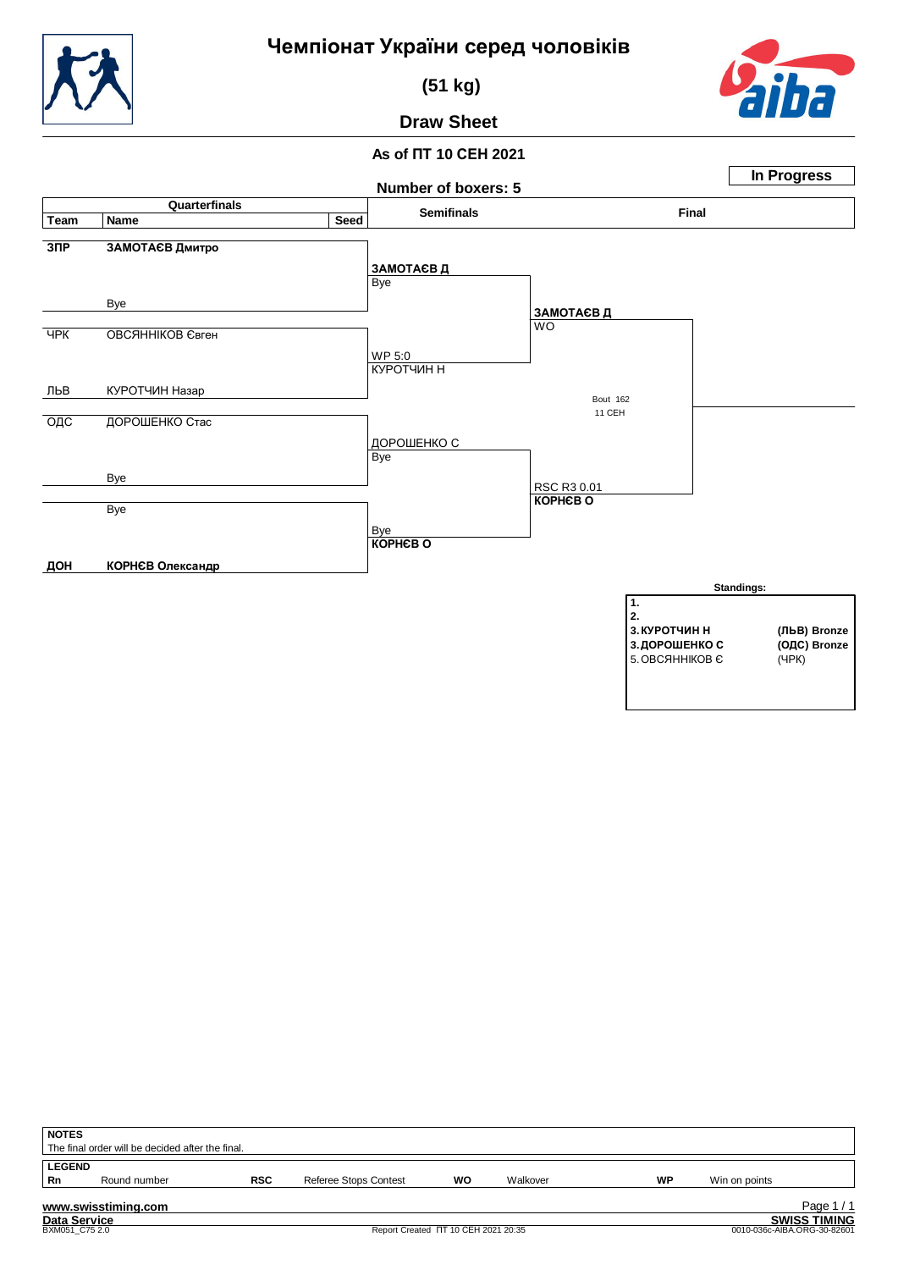

 **(51 kg)**



#### **Draw Sheet**



| <b>NOTES</b>                                     |              |            |                                     |    |          |    |                             |  |  |  |  |
|--------------------------------------------------|--------------|------------|-------------------------------------|----|----------|----|-----------------------------|--|--|--|--|
| The final order will be decided after the final. |              |            |                                     |    |          |    |                             |  |  |  |  |
| <b>LEGEND</b>                                    |              |            |                                     |    |          |    |                             |  |  |  |  |
| Rn                                               | Round number | <b>RSC</b> | <b>Referee Stops Contest</b>        | WO | Walkover | WP | Win on points               |  |  |  |  |
|                                                  |              |            |                                     |    |          |    |                             |  |  |  |  |
| Page 1/1<br>www.swisstiming.com                  |              |            |                                     |    |          |    |                             |  |  |  |  |
| <b>Data Service</b>                              |              |            |                                     |    |          |    | <b>SWISS TIMING</b>         |  |  |  |  |
| BXM051 C75 2.0                                   |              |            | Report Created IT 10 CEH 2021 20:35 |    |          |    | 0010-036c-AIBA.ORG-30-82601 |  |  |  |  |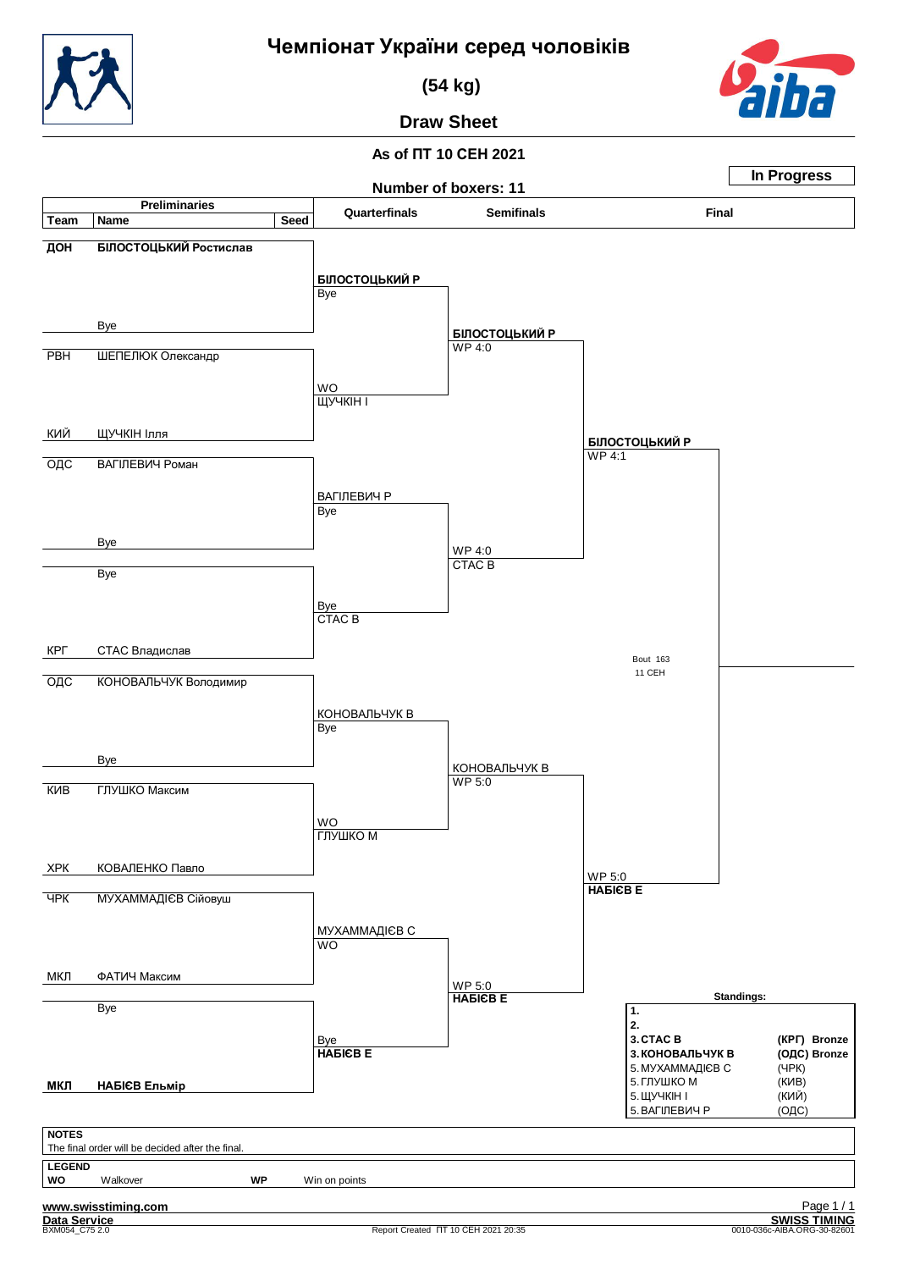**(54 kg)**



**Draw Sheet**

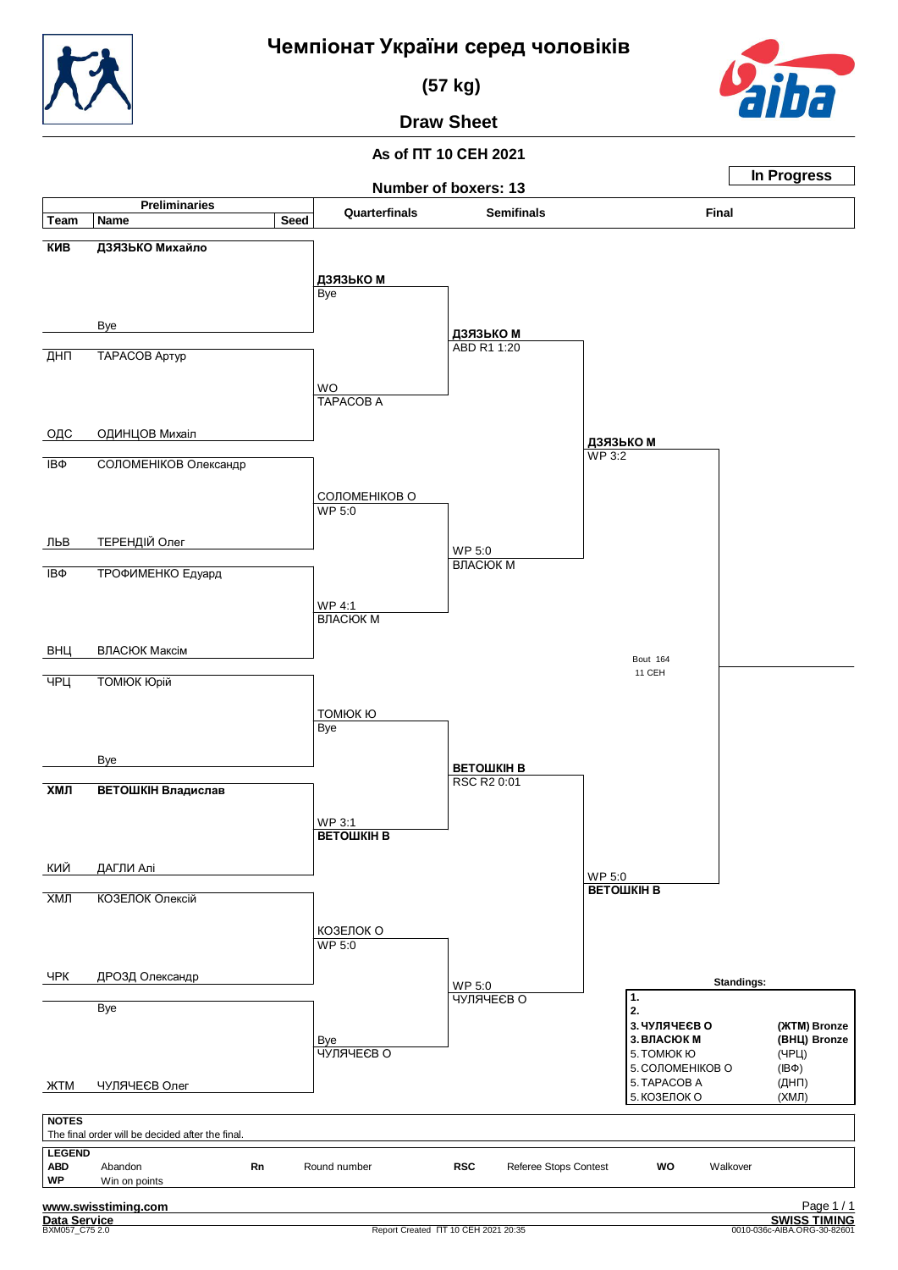**(57 kg)**



**Draw Sheet**

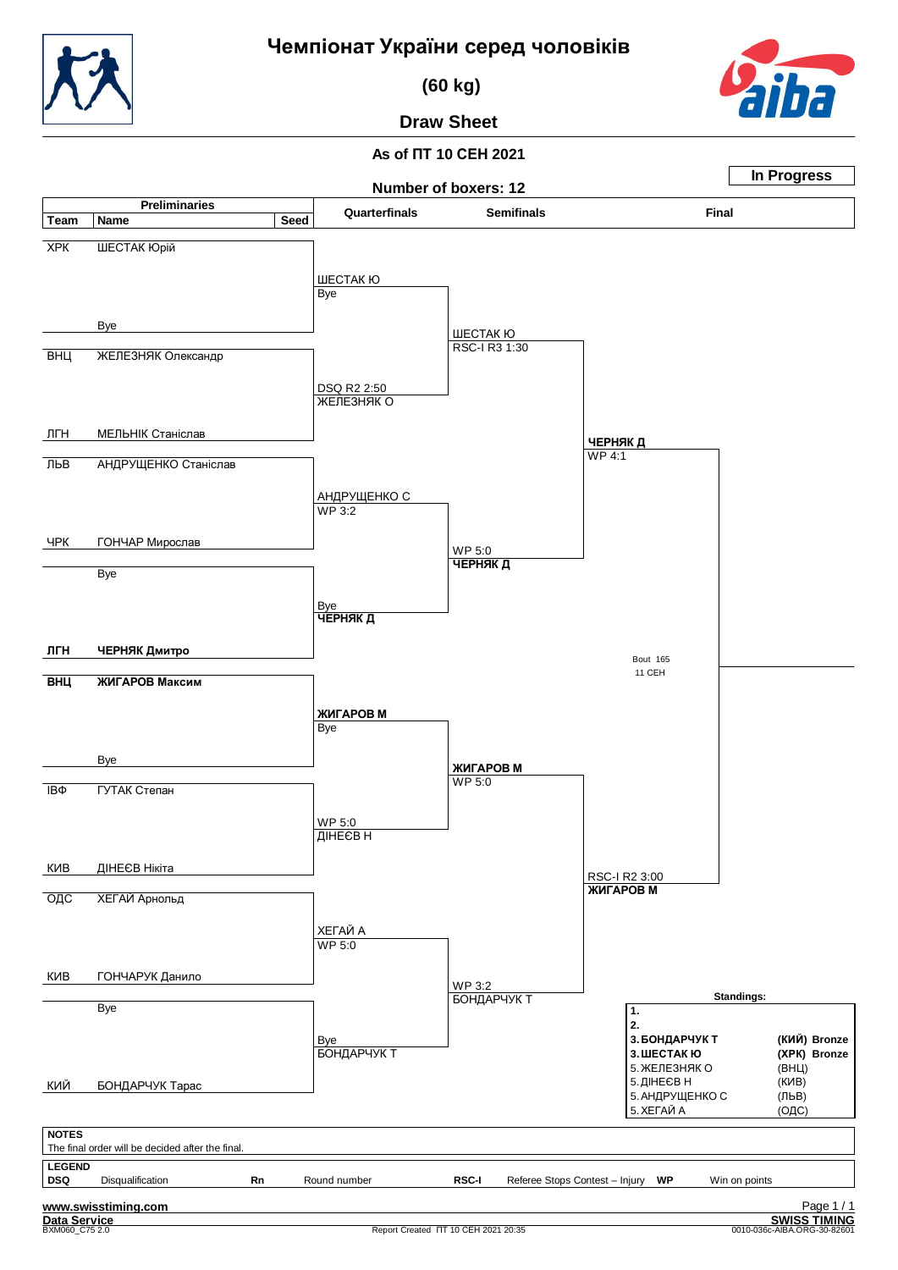

 **(60 kg)**

### **Draw Sheet**

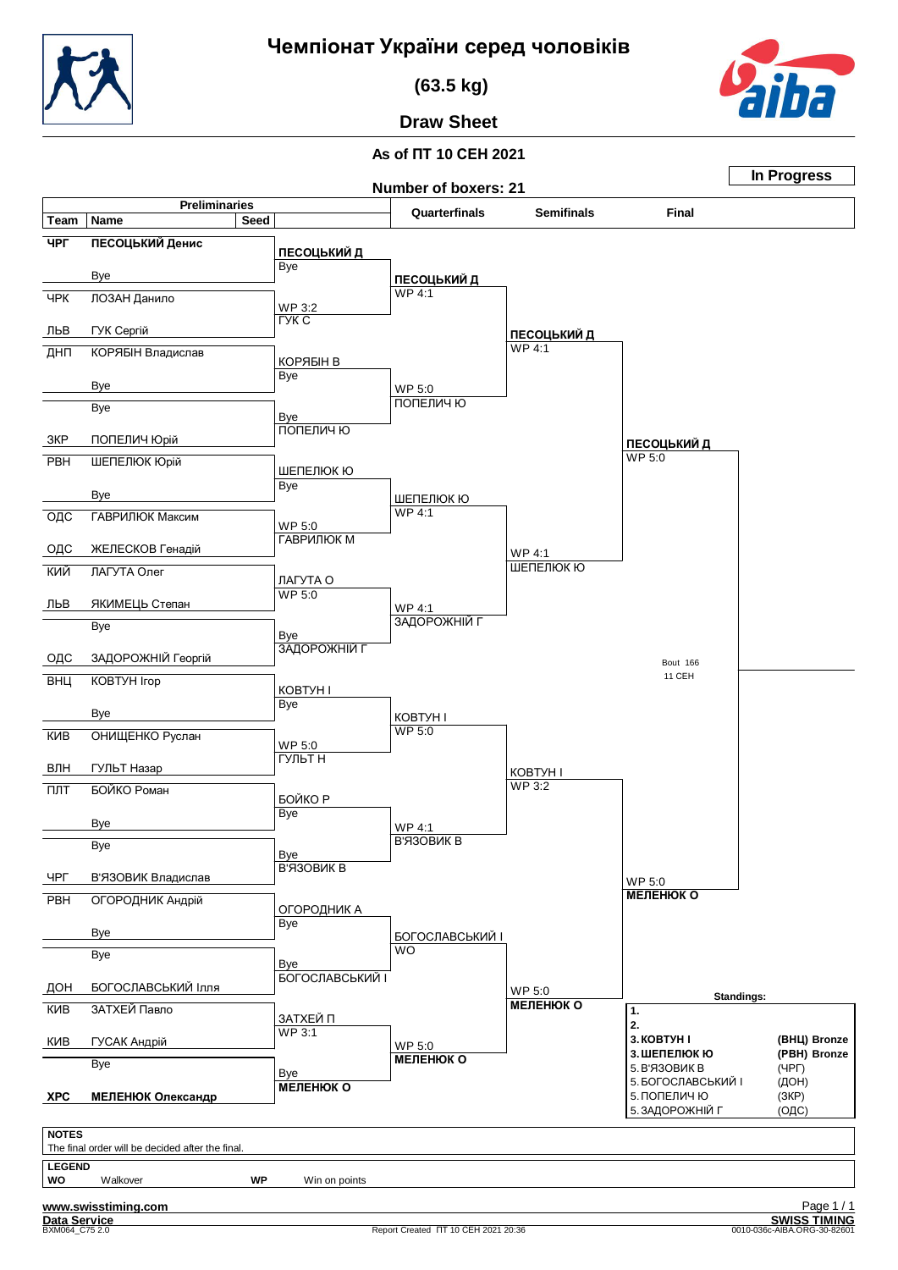

 **(63.5 kg)**



**Draw Sheet**

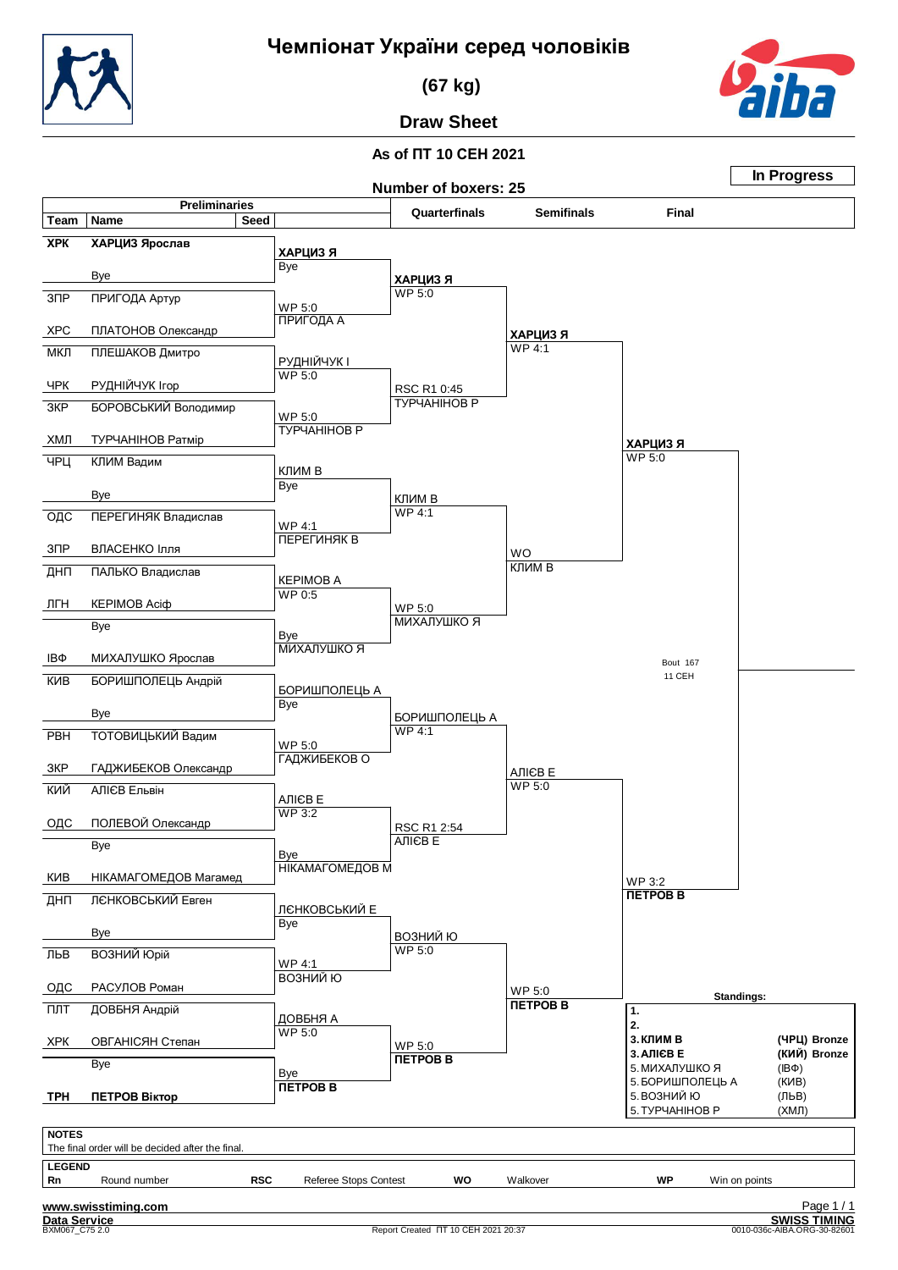

 **(67 kg)**



## **Draw Sheet**

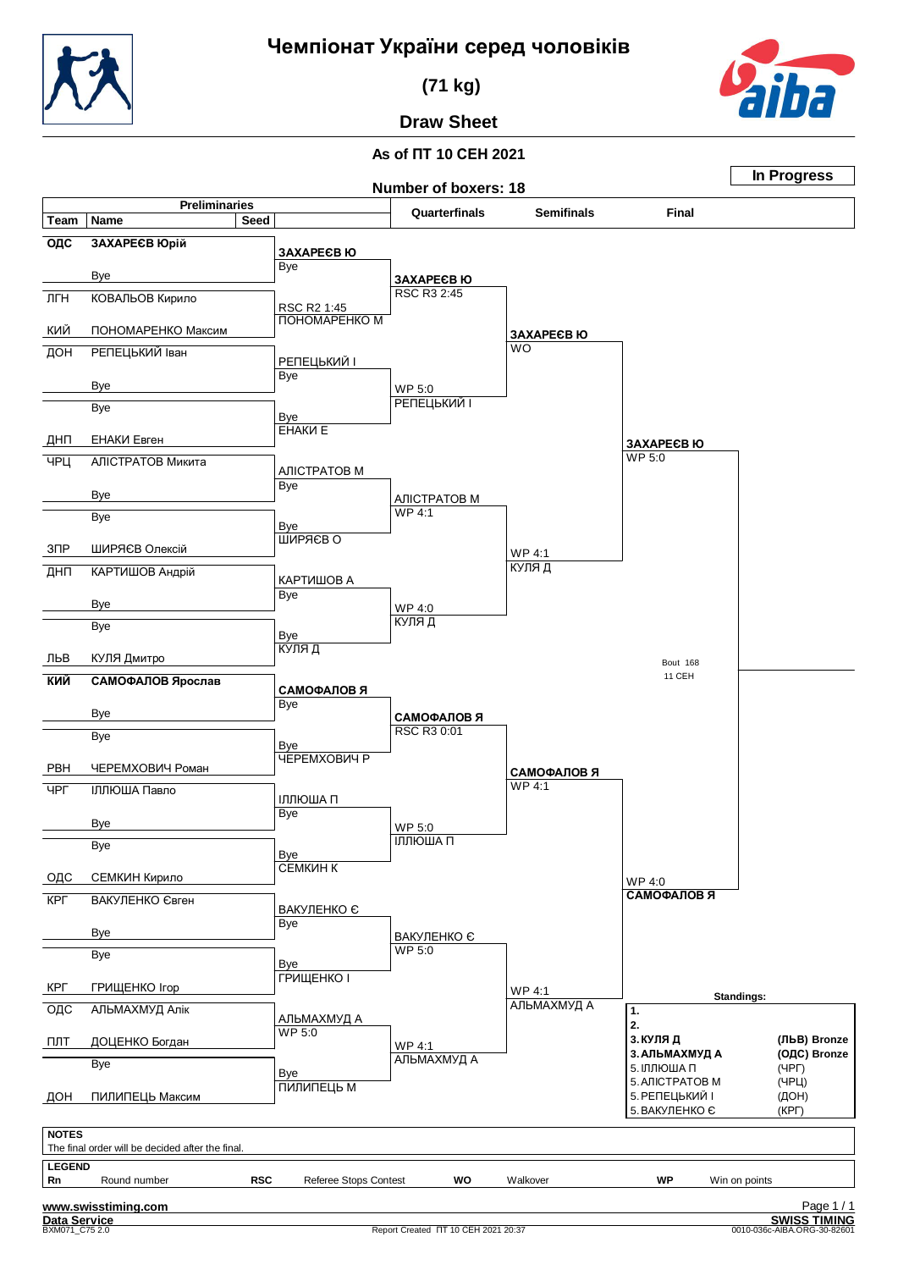

 **(71 kg)**



# **Draw Sheet**

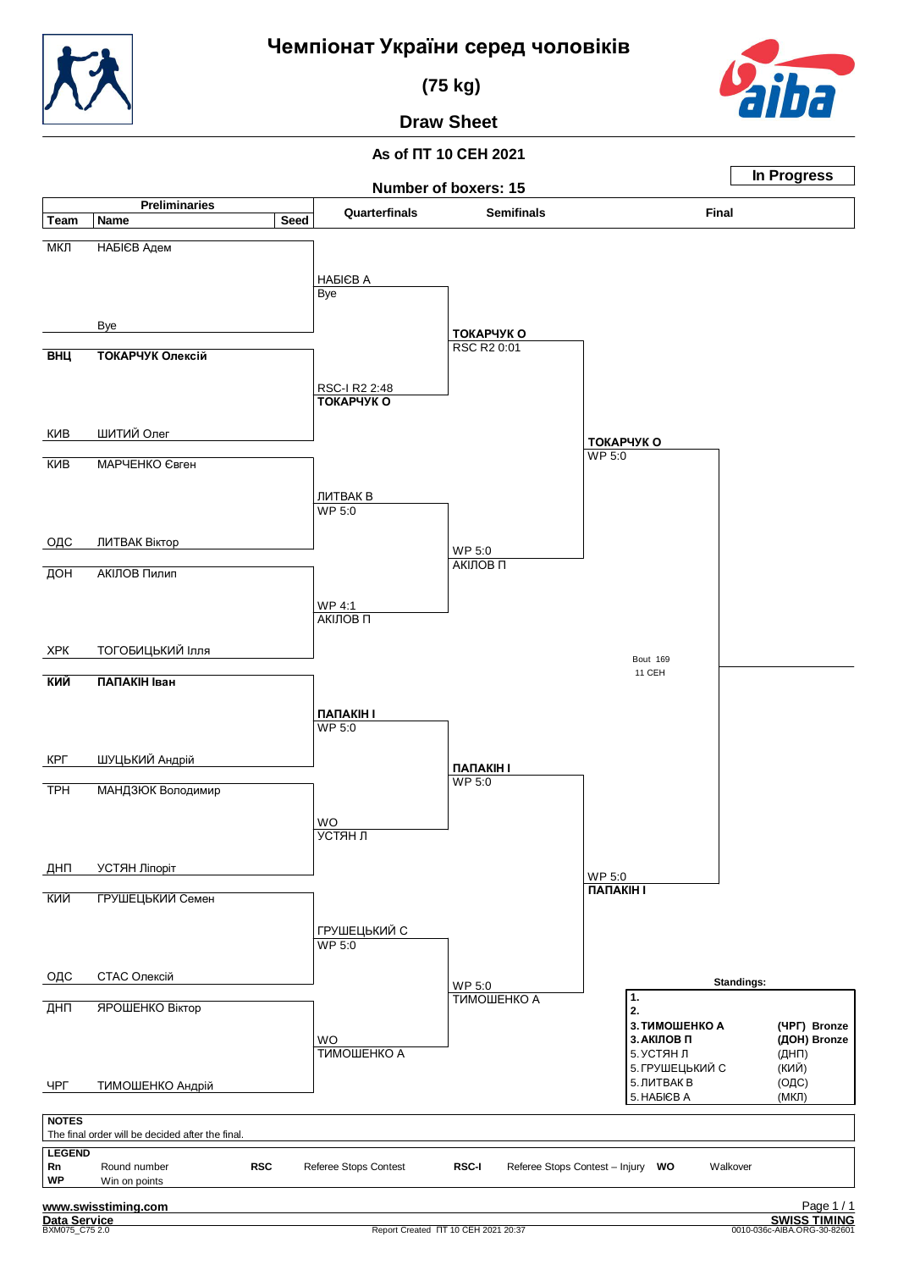

**In Progress**

 **(75 kg)**

## **Draw Sheet**

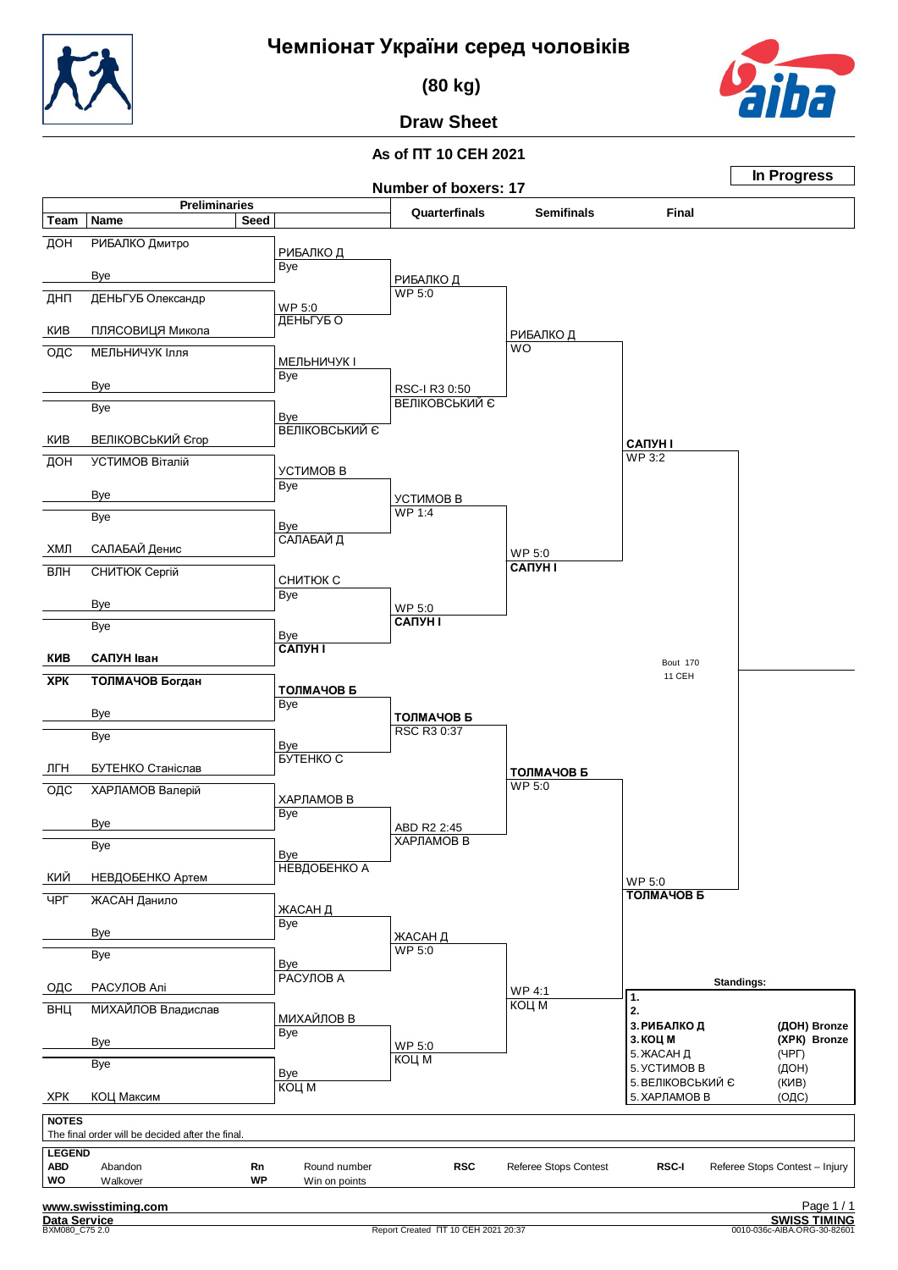

 **(80 kg)**



**Draw Sheet**

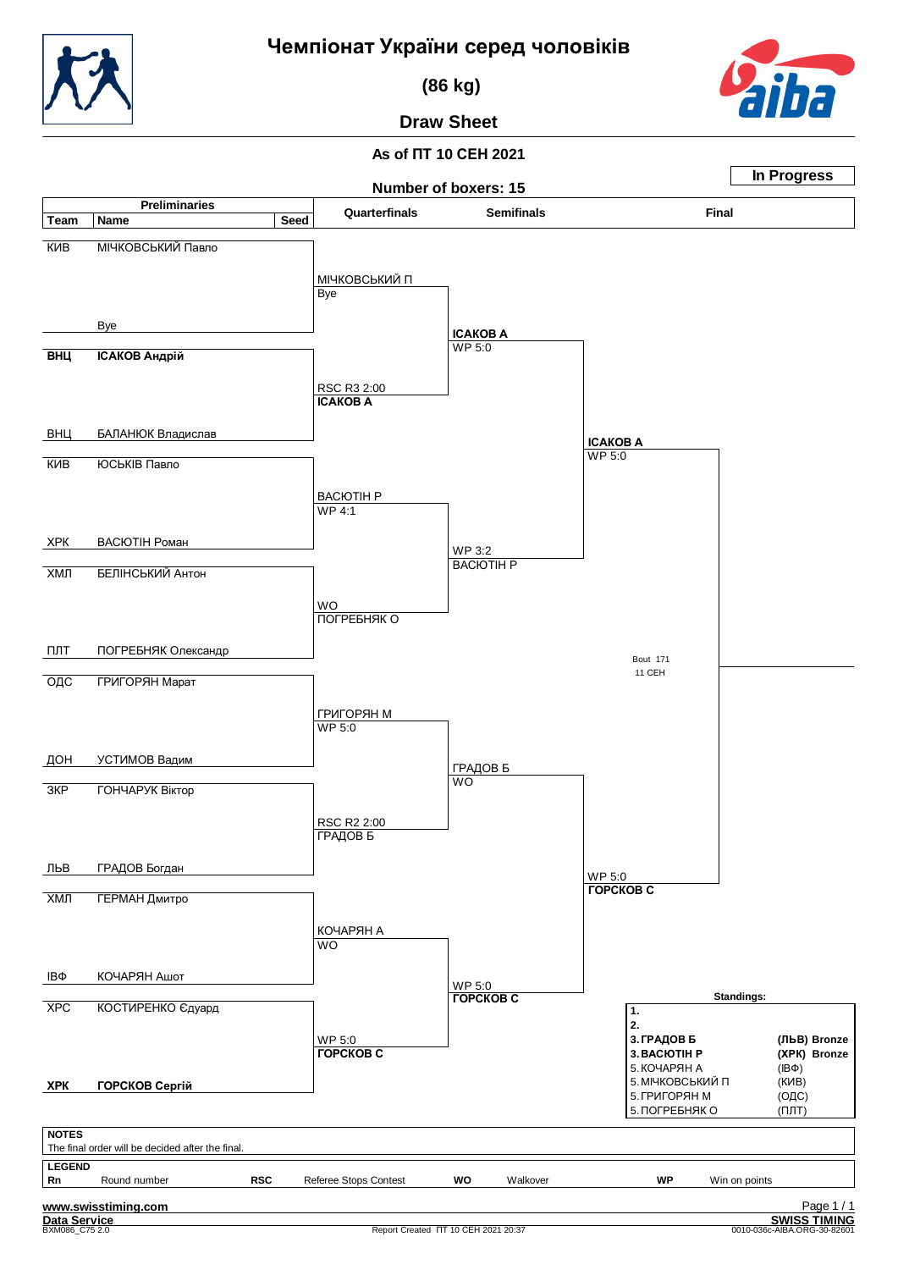

 **(86 kg)**

## **Draw Sheet**

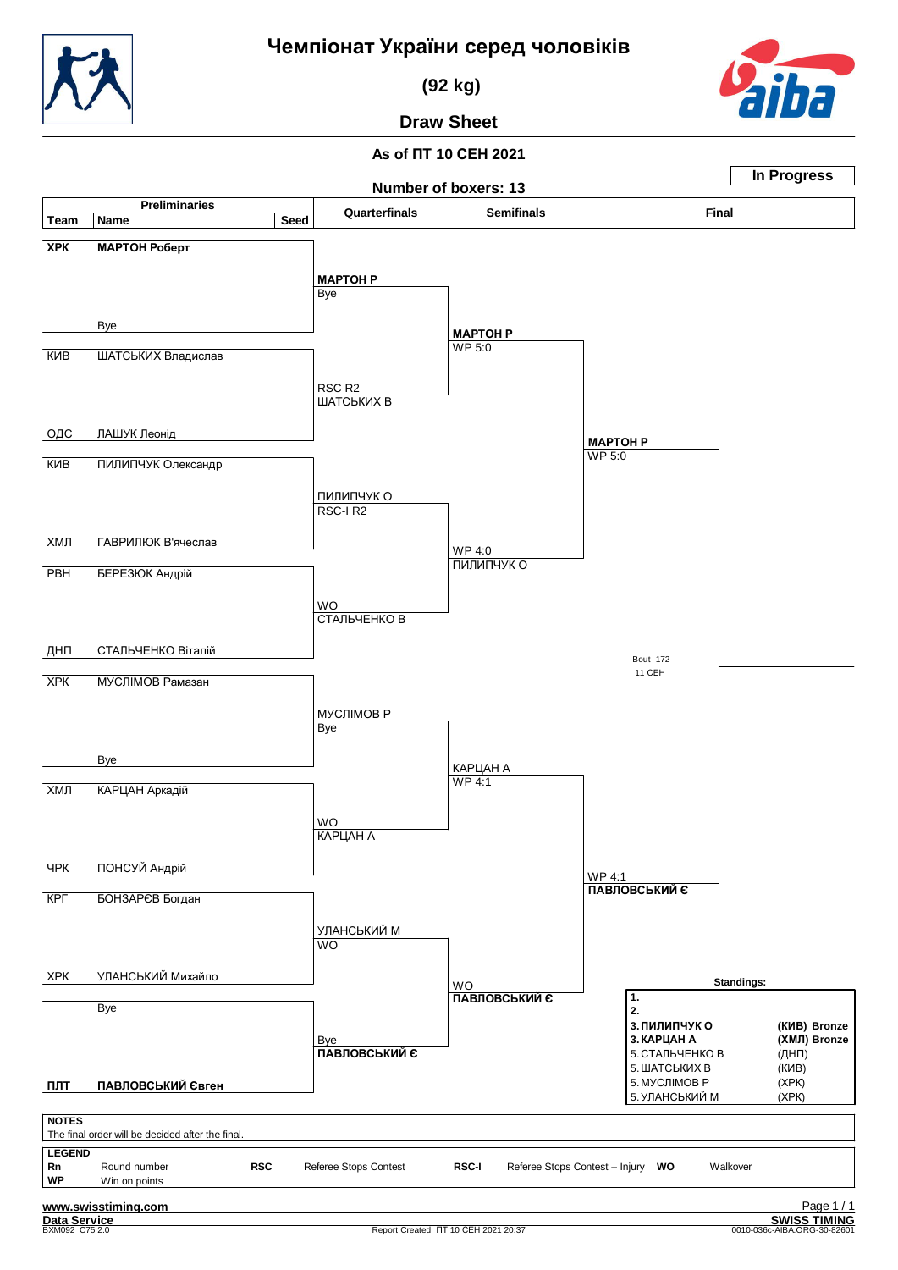

 **(92 kg)**

## **Draw Sheet**